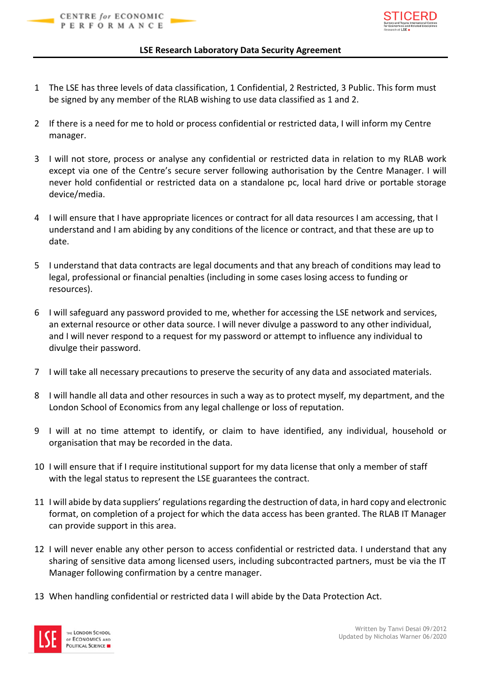

## **LSE Research Laboratory Data Security Agreement**

- 1 The LSE has three levels of data classification, 1 Confidential, 2 Restricted, 3 Public. This form must be signed by any member of the RLAB wishing to use data classified as 1 and 2.
- 2 If there is a need for me to hold or process confidential or restricted data, I will inform my Centre manager.
- 3 I will not store, process or analyse any confidential or restricted data in relation to my RLAB work except via one of the Centre's secure server following authorisation by the Centre Manager. I will never hold confidential or restricted data on a standalone pc, local hard drive or portable storage device/media.
- 4 I will ensure that I have appropriate licences or contract for all data resources I am accessing, that I understand and I am abiding by any conditions of the licence or contract, and that these are up to date.
- 5 I understand that data contracts are legal documents and that any breach of conditions may lead to legal, professional or financial penalties (including in some cases losing access to funding or resources).
- 6 I will safeguard any password provided to me, whether for accessing the LSE network and services, an external resource or other data source. I will never divulge a password to any other individual, and I will never respond to a request for my password or attempt to influence any individual to divulge their password.
- 7 I will take all necessary precautions to preserve the security of any data and associated materials.
- 8 I will handle all data and other resources in such a way as to protect myself, my department, and the London School of Economics from any legal challenge or loss of reputation.
- 9 I will at no time attempt to identify, or claim to have identified, any individual, household or organisation that may be recorded in the data.
- 10 I will ensure that if I require institutional support for my data license that only a member of staff with the legal status to represent the LSE guarantees the contract.
- 11 I will abide by data suppliers' regulations regarding the destruction of data, in hard copy and electronic format, on completion of a project for which the data access has been granted. The RLAB IT Manager can provide support in this area.
- 12 I will never enable any other person to access confidential or restricted data. I understand that any sharing of sensitive data among licensed users, including subcontracted partners, must be via the IT Manager following confirmation by a centre manager.
- 13 When handling confidential or restricted data I will abide by the Data Protection Act.